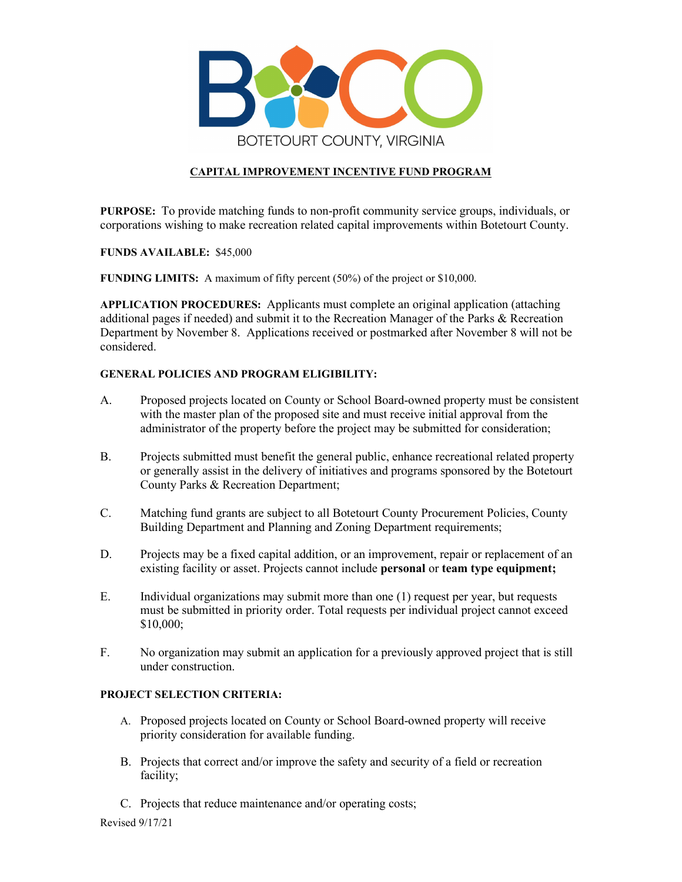

# **CAPITAL IMPROVEMENT INCENTIVE FUND PROGRAM**

**PURPOSE:** To provide matching funds to non-profit community service groups, individuals, or corporations wishing to make recreation related capital improvements within Botetourt County.

#### **FUNDS AVAILABLE:** \$45,000

**FUNDING LIMITS:** A maximum of fifty percent (50%) of the project or \$10,000.

**APPLICATION PROCEDURES:** Applicants must complete an original application (attaching additional pages if needed) and submit it to the Recreation Manager of the Parks & Recreation Department by November 8. Applications received or postmarked after November 8 will not be considered.

#### **GENERAL POLICIES AND PROGRAM ELIGIBILITY:**

- A. Proposed projects located on County or School Board-owned property must be consistent with the master plan of the proposed site and must receive initial approval from the administrator of the property before the project may be submitted for consideration;
- B. Projects submitted must benefit the general public, enhance recreational related property or generally assist in the delivery of initiatives and programs sponsored by the Botetourt County Parks & Recreation Department;
- C. Matching fund grants are subject to all Botetourt County Procurement Policies, County Building Department and Planning and Zoning Department requirements;
- D. Projects may be a fixed capital addition, or an improvement, repair or replacement of an existing facility or asset. Projects cannot include **personal** or **team type equipment;**
- E. Individual organizations may submit more than one (1) request per year, but requests must be submitted in priority order. Total requests per individual project cannot exceed \$10,000;
- F. No organization may submit an application for a previously approved project that is still under construction.

#### **PROJECT SELECTION CRITERIA:**

- A. Proposed projects located on County or School Board-owned property will receive priority consideration for available funding.
- B. Projects that correct and/or improve the safety and security of a field or recreation facility;
- C. Projects that reduce maintenance and/or operating costs;

Revised 9/17/21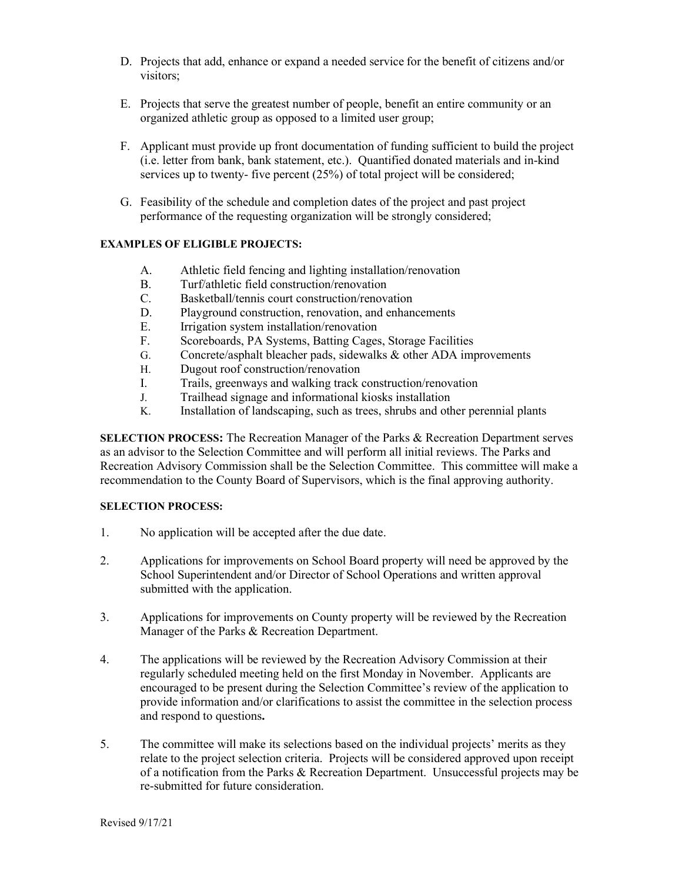- D. Projects that add, enhance or expand a needed service for the benefit of citizens and/or visitors;
- E. Projects that serve the greatest number of people, benefit an entire community or an organized athletic group as opposed to a limited user group;
- F. Applicant must provide up front documentation of funding sufficient to build the project (i.e. letter from bank, bank statement, etc.). Quantified donated materials and in-kind services up to twenty- five percent (25%) of total project will be considered;
- G. Feasibility of the schedule and completion dates of the project and past project performance of the requesting organization will be strongly considered;

# **EXAMPLES OF ELIGIBLE PROJECTS:**

- A. Athletic field fencing and lighting installation/renovation
- B. Turf/athletic field construction/renovation
- C. Basketball/tennis court construction/renovation
- D. Playground construction, renovation, and enhancements
- E. Irrigation system installation/renovation
- F. Scoreboards, PA Systems, Batting Cages, Storage Facilities
- G. Concrete/asphalt bleacher pads, sidewalks & other ADA improvements
- H. Dugout roof construction/renovation
- I. Trails, greenways and walking track construction/renovation
- J. Trailhead signage and informational kiosks installation
- Installation of landscaping, such as trees, shrubs and other perennial plants

**SELECTION PROCESS:** The Recreation Manager of the Parks & Recreation Department serves as an advisor to the Selection Committee and will perform all initial reviews. The Parks and Recreation Advisory Commission shall be the Selection Committee. This committee will make a recommendation to the County Board of Supervisors, which is the final approving authority.

# **SELECTION PROCESS:**

- 1. No application will be accepted after the due date.
- 2. Applications for improvements on School Board property will need be approved by the School Superintendent and/or Director of School Operations and written approval submitted with the application.
- 3. Applications for improvements on County property will be reviewed by the Recreation Manager of the Parks & Recreation Department.
- 4. The applications will be reviewed by the Recreation Advisory Commission at their regularly scheduled meeting held on the first Monday in November. Applicants are encouraged to be present during the Selection Committee's review of the application to provide information and/or clarifications to assist the committee in the selection process and respond to questions**.**
- 5. The committee will make its selections based on the individual projects' merits as they relate to the project selection criteria. Projects will be considered approved upon receipt of a notification from the Parks & Recreation Department. Unsuccessful projects may be re-submitted for future consideration.